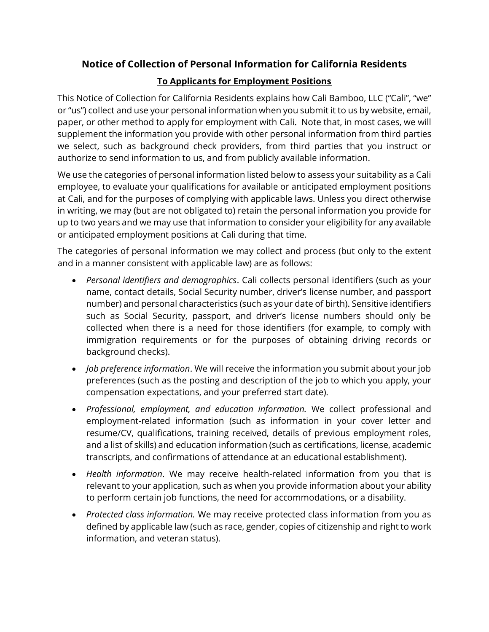## **Notice of Collection of Personal Information for California Residents**

## **To Applicants for Employment Positions**

This Notice of Collection for California Residents explains how Cali Bamboo, LLC ("Cali", "we" or "us") collect and use your personal information when you submit it to us by website, email, paper, or other method to apply for employment with Cali. Note that, in most cases, we will supplement the information you provide with other personal information from third parties we select, such as background check providers, from third parties that you instruct or authorize to send information to us, and from publicly available information.

We use the categories of personal information listed below to assess your suitability as a Cali employee, to evaluate your qualifications for available or anticipated employment positions at Cali, and for the purposes of complying with applicable laws. Unless you direct otherwise in writing, we may (but are not obligated to) retain the personal information you provide for up to two years and we may use that information to consider your eligibility for any available or anticipated employment positions at Cali during that time.

The categories of personal information we may collect and process (but only to the extent and in a manner consistent with applicable law) are as follows:

- *Personal identifiers and demographics*. Cali collects personal identifiers (such as your name, contact details, Social Security number, driver's license number, and passport number) and personal characteristics (such as your date of birth). Sensitive identifiers such as Social Security, passport, and driver's license numbers should only be collected when there is a need for those identifiers (for example, to comply with immigration requirements or for the purposes of obtaining driving records or background checks).
- *Job preference information*. We will receive the information you submit about your job preferences (such as the posting and description of the job to which you apply, your compensation expectations, and your preferred start date).
- *Professional, employment, and education information.* We collect professional and employment-related information (such as information in your cover letter and resume/CV, qualifications, training received, details of previous employment roles, and a list of skills) and education information (such as certifications, license, academic transcripts, and confirmations of attendance at an educational establishment).
- *Health information*. We may receive health-related information from you that is relevant to your application, such as when you provide information about your ability to perform certain job functions, the need for accommodations, or a disability.
- *Protected class information.* We may receive protected class information from you as defined by applicable law (such as race, gender, copies of citizenship and right to work information, and veteran status).